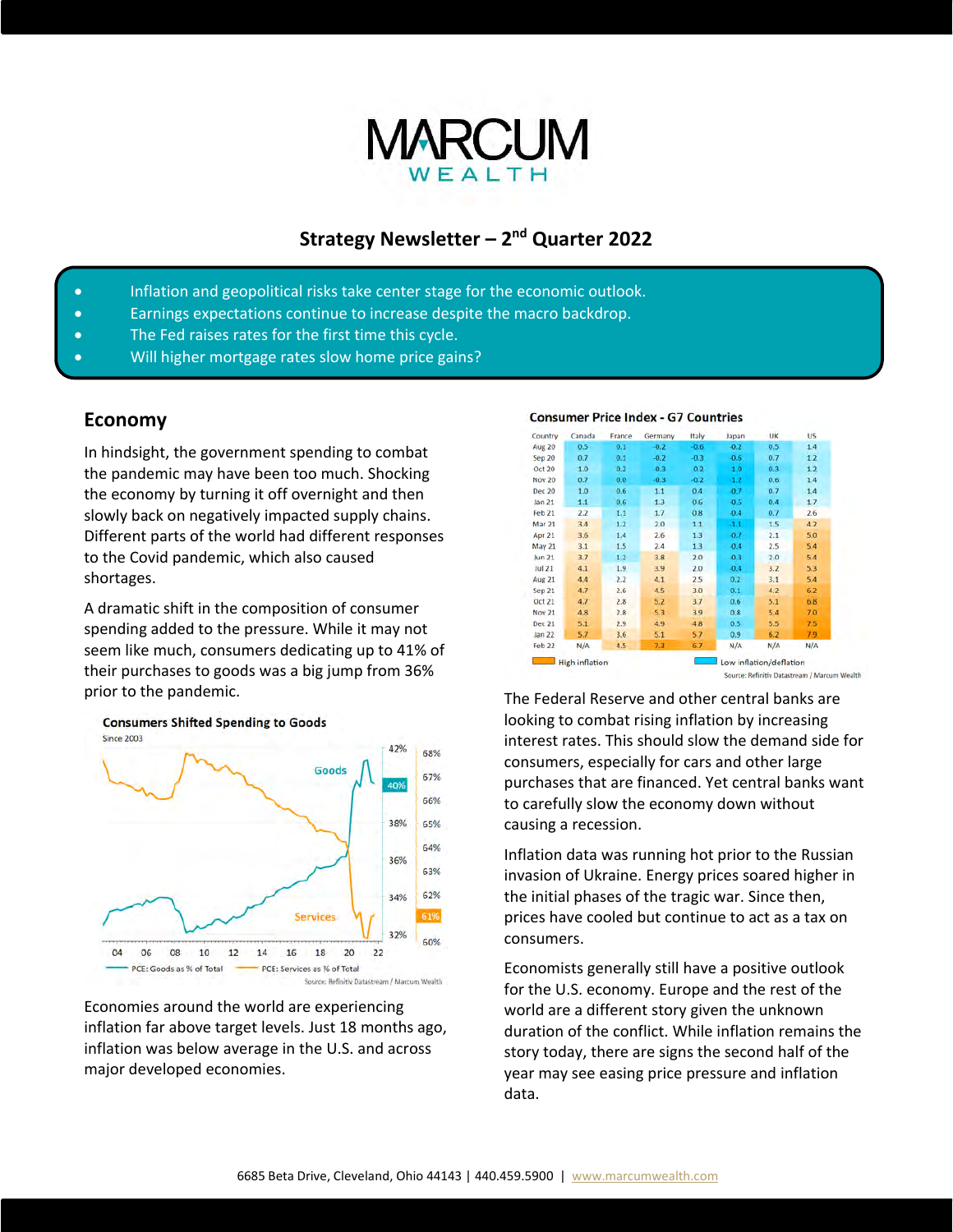

# **Strategy Newsletter – 2nd Quarter 2022**

- Inflation and geopolitical risks take center stage for the economic outlook.
- Earnings expectations continue to increase despite the macro backdrop.
- The Fed raises rates for the first time this cycle.
- Will higher mortgage rates slow home price gains?

#### **Economy**

In hindsight, the government spending to combat the pandemic may have been too much. Shocking the economy by turning it off overnight and then slowly back on negatively impacted supply chains. Different parts of the world had different responses to the Covid pandemic, which also caused shortages.

A dramatic shift in the composition of consumer spending added to the pressure. While it may not seem like much, consumers dedicating up to 41% of their purchases to goods was a big jump from 36% prior to the pandemic.



Economies around the world are experiencing inflation far above target levels. Just 18 months ago, inflation was below average in the U.S. and across major developed economies.

#### **Consumer Price Index - G7 Countries**



Source: Refinitiv Datastream / Marcum Wealth

The Federal Reserve and other central banks are looking to combat rising inflation by increasing interest rates. This should slow the demand side for consumers, especially for cars and other large purchases that are financed. Yet central banks want to carefully slow the economy down without causing a recession.

Inflation data was running hot prior to the Russian invasion of Ukraine. Energy prices soared higher in the initial phases of the tragic war. Since then, prices have cooled but continue to act as a tax on consumers.

Economists generally still have a positive outlook for the U.S. economy. Europe and the rest of the world are a different story given the unknown duration of the conflict. While inflation remains the story today, there are signs the second half of the year may see easing price pressure and inflation data.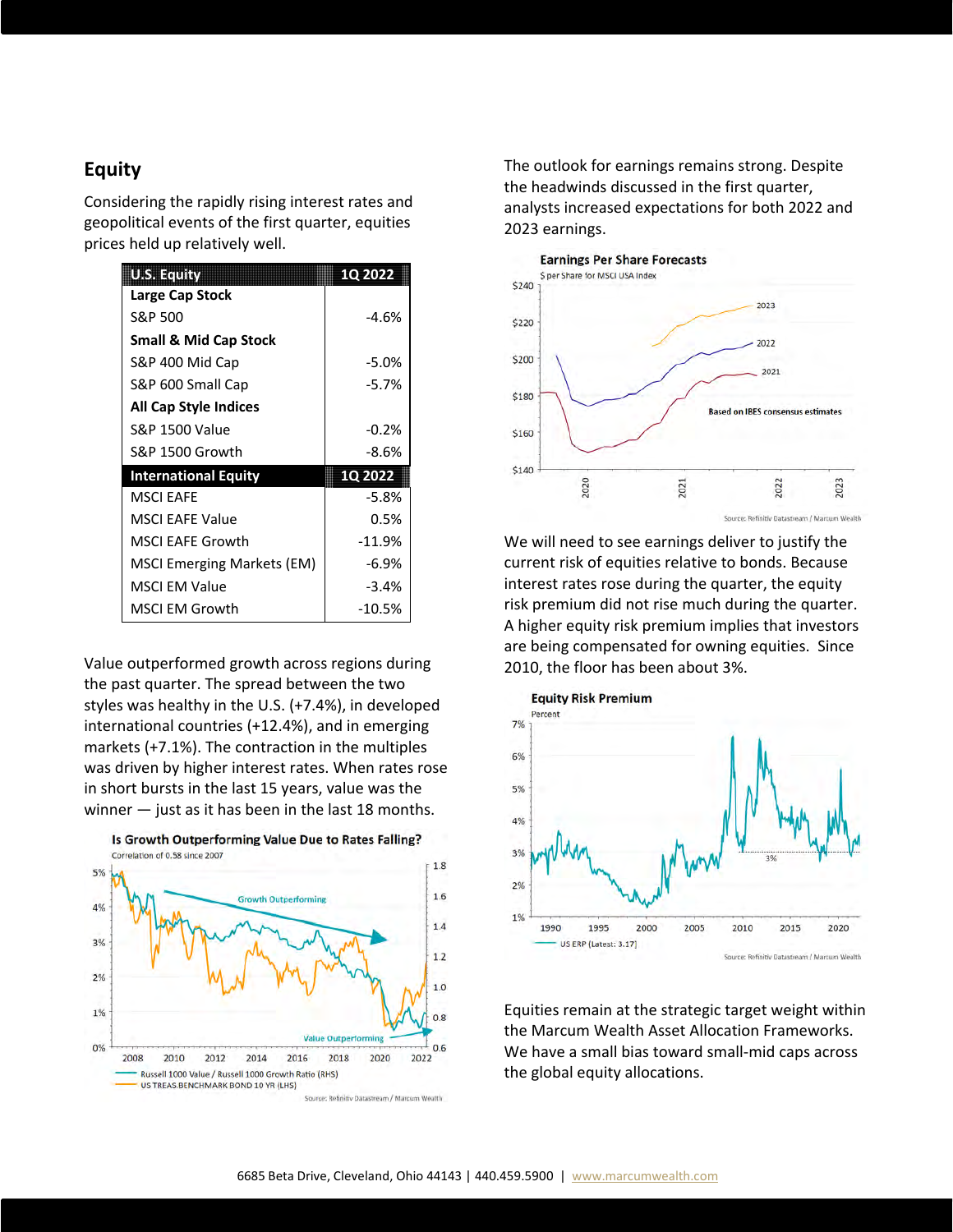#### **Equity**

Considering the rapidly rising interest rates and geopolitical events of the first quarter, equities prices held up relatively well.

| <b>U.S. Equity</b>                | 1Q 2022        |  |  |
|-----------------------------------|----------------|--|--|
| Large Cap Stock                   |                |  |  |
| S&P 500                           | $-4.6%$        |  |  |
| <b>Small &amp; Mid Cap Stock</b>  |                |  |  |
| S&P 400 Mid Cap                   | $-5.0%$        |  |  |
| S&P 600 Small Cap                 | $-5.7%$        |  |  |
| <b>All Cap Style Indices</b>      |                |  |  |
| <b>S&amp;P 1500 Value</b>         | $-0.2%$        |  |  |
| S&P 1500 Growth                   | -8.6%          |  |  |
| <b>International Equity</b>       | <b>1Q 2022</b> |  |  |
| <b>MSCLEAFE</b>                   | $-5.8%$        |  |  |
| <b>MSCI EAFE Value</b>            | 0.5%           |  |  |
| <b>MSCI EAFE Growth</b>           | $-11.9%$       |  |  |
| <b>MSCI Emerging Markets (EM)</b> | $-6.9%$        |  |  |
| <b>MSCI EM Value</b>              | $-3.4%$        |  |  |
| <b>MSCI EM Growth</b>             | $-10.5%$       |  |  |

Value outperformed growth across regions during the past quarter. The spread between the two styles was healthy in the U.S. (+7.4%), in developed international countries (+12.4%), and in emerging markets (+7.1%). The contraction in the multiples was driven by higher interest rates. When rates rose in short bursts in the last 15 years, value was the winner — just as it has been in the last 18 months.



The outlook for earnings remains strong. Despite the headwinds discussed in the first quarter, analysts increased expectations for both 2022 and 2023 earnings.



We will need to see earnings deliver to justify the current risk of equities relative to bonds. Because interest rates rose during the quarter, the equity risk premium did not rise much during the quarter. A higher equity risk premium implies that investors are being compensated for owning equities. Since 2010, the floor has been about 3%.



Equities remain at the strategic target weight within the Marcum Wealth Asset Allocation Frameworks. We have a small bias toward small-mid caps across the global equity allocations.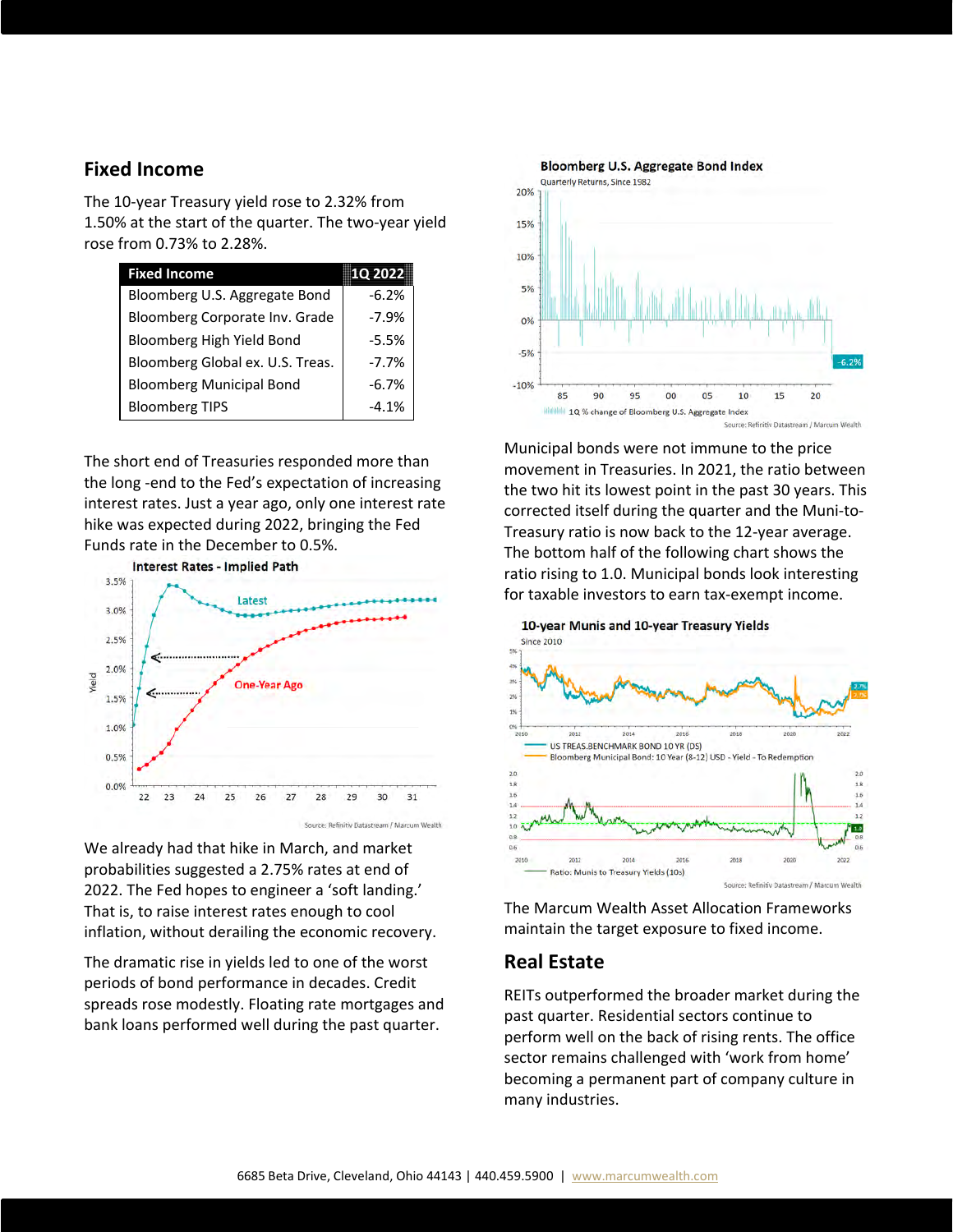### **Fixed Income**

The 10-year Treasury yield rose to 2.32% from 1.50% at the start of the quarter. The two-year yield rose from 0.73% to 2.28%.

| <b>Fixed Income</b>              | <b>1Q 2022</b> |  |
|----------------------------------|----------------|--|
| Bloomberg U.S. Aggregate Bond    | $-6.2%$        |  |
| Bloomberg Corporate Inv. Grade   | $-7.9%$        |  |
| Bloomberg High Yield Bond        | $-5.5%$        |  |
| Bloomberg Global ex. U.S. Treas. | $-7.7%$        |  |
| <b>Bloomberg Municipal Bond</b>  | $-6.7%$        |  |
| <b>Bloomberg TIPS</b>            | $-4.1%$        |  |

The short end of Treasuries responded more than the long -end to the Fed's expectation of increasing interest rates. Just a year ago, only one interest rate hike was expected during 2022, bringing the Fed Funds rate in the December to 0.5%.



We already had that hike in March, and market probabilities suggested a 2.75% rates at end of 2022. The Fed hopes to engineer a 'soft landing.' That is, to raise interest rates enough to cool inflation, without derailing the economic recovery.

The dramatic rise in yields led to one of the worst periods of bond performance in decades. Credit spreads rose modestly. Floating rate mortgages and bank loans performed well during the past quarter.



Municipal bonds were not immune to the price movement in Treasuries. In 2021, the ratio between the two hit its lowest point in the past 30 years. This corrected itself during the quarter and the Muni-to-Treasury ratio is now back to the 12-year average. The bottom half of the following chart shows the ratio rising to 1.0. Municipal bonds look interesting for taxable investors to earn tax-exempt income.



The Marcum Wealth Asset Allocation Frameworks maintain the target exposure to fixed income.

### **Real Estate**

REITs outperformed the broader market during the past quarter. Residential sectors continue to perform well on the back of rising rents. The office sector remains challenged with 'work from home' becoming a permanent part of company culture in many industries.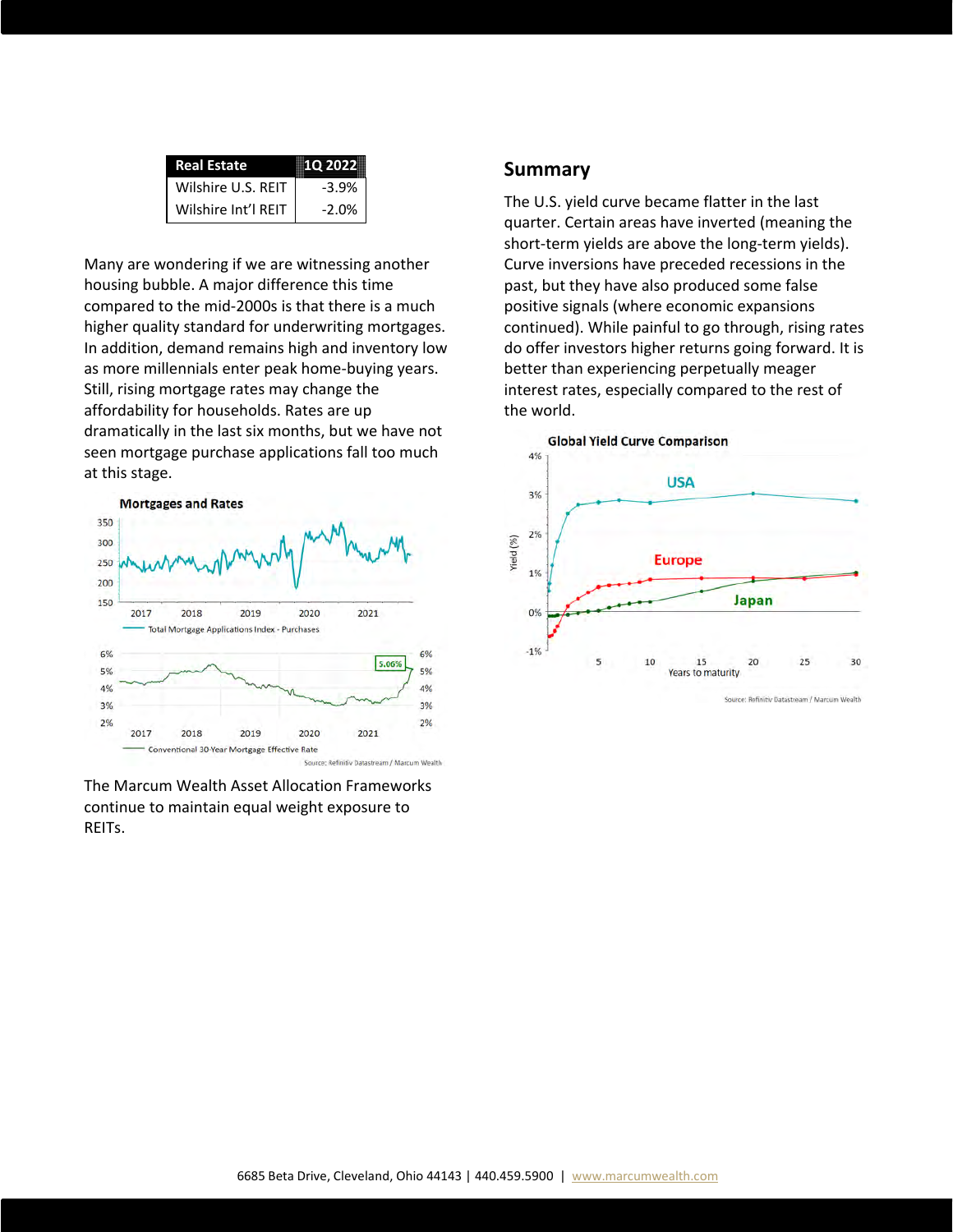| <b>Real Estate</b>  | 10 2022 |  |  |
|---------------------|---------|--|--|
| Wilshire U.S. REIT  | $-3.9%$ |  |  |
| Wilshire Int'l REIT | $-2.0%$ |  |  |

Many are wondering if we are witnessing another housing bubble. A major difference this time compared to the mid-2000s is that there is a much higher quality standard for underwriting mortgages. In addition, demand remains high and inventory low as more millennials enter peak home-buying years. Still, rising mortgage rates may change the affordability for households. Rates are up dramatically in the last six months, but we have not seen mortgage purchase applications fall too much at this stage.



The Marcum Wealth Asset Allocation Frameworks continue to maintain equal weight exposure to REITs.

#### **Summary**

The U.S. yield curve became flatter in the last quarter. Certain areas have inverted (meaning the short-term yields are above the long-term yields). Curve inversions have preceded recessions in the past, but they have also produced some false positive signals (where economic expansions continued). While painful to go through, rising rates do offer investors higher returns going forward. It is better than experiencing perpetually meager interest rates, especially compared to the rest of the world.



Source: Refinitiv Datastream / Marcum Wealth